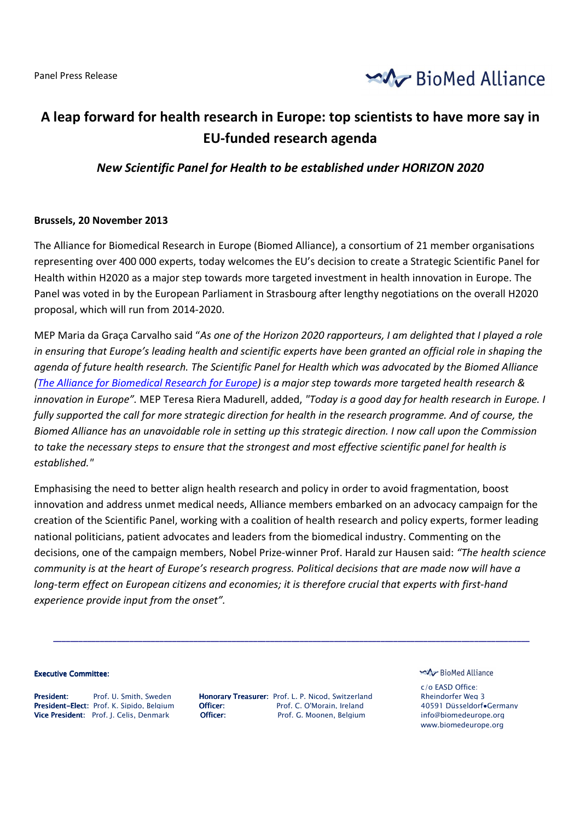Panel Press Release



# **A leap forward for health research in Europe: top scientists to have more say in EU-funded research agenda**

## *New Scientific Panel for Health to be established under HORIZON 2020*

## **Brussels, 20 November 2013**

The Alliance for Biomedical Research in Europe (Biomed Alliance), a consortium of 21 member organisations representing over 400 000 experts, today welcomes the EU's decision to create a Strategic Scientific Panel for Health within H2020 as a major step towards more targeted investment in health innovation in Europe. The Panel was voted in by the European Parliament in Strasbourg after lengthy negotiations on the overall H2020 proposal, which will run from 2014-2020.

MEP Maria da Graça Carvalho said "*As one of the Horizon 2020 rapporteurs, I am delighted that I played a role*  in ensuring that Europe's leading health and scientific experts have been granted an official role in shaping the *agenda of future health research. The Scientific Panel for Health which was advocated by the Biomed Alliance (The Alliance for Biomedical Research for Europe) is a major step towards more targeted health research & innovation in Europe".* MEP Teresa Riera Madurell, added, *"Today is a good day for health research in Europe. I fully supported the call for more strategic direction for health in the research programme. And of course, the Biomed Alliance has an unavoidable role in setting up this strategic direction. I now call upon the Commission to take the necessary steps to ensure that the strongest and most effective scientific panel for health is established."*

Emphasising the need to better align health research and policy in order to avoid fragmentation, boost innovation and address unmet medical needs, Alliance members embarked on an advocacy campaign for the creation of the Scientific Panel, working with a coalition of health research and policy experts, former leading national politicians, patient advocates and leaders from the biomedical industry. Commenting on the decisions, one of the campaign members, Nobel Prize-winner Prof. Harald zur Hausen said: *"The health science community is at the heart of Europe's research progress. Political decisions that are made now will have a long-term effect on European citizens and economies; it is therefore crucial that experts with first-hand experience provide input from the onset".* 

#### **Executive Committee:**

President: Prof. U. Smith. Sweden Honorary Treasurer: Prof. L. P. Nicod. Switzerland Rheindorfer Weg 3<br>President-Elect: Prof. K. Sipido. Belgium Officer: Prof. C. O'Morain. Ireland 40591 Düsseldorfe President-Elect: Prof. K. Sipido. Belaium **Officer**: Prof. C. O'Morain. Ireland 40591 Düsseldorf•Germany Vice President: Prof. J. Celis, Denmark **Officer:** Prof. G. Moonen, Belgium info@biomedeurope.org

**\_\_\_\_\_\_\_\_\_\_\_\_\_\_\_\_\_\_\_\_\_\_\_\_\_\_\_\_\_\_\_\_\_\_\_\_\_\_\_\_\_\_\_\_\_\_\_\_\_\_\_\_\_\_\_\_\_\_\_\_\_\_\_\_\_\_\_\_\_\_\_\_\_\_\_\_\_\_\_\_\_\_\_\_\_\_\_\_\_\_\_\_\_\_\_\_\_\_\_\_\_\_\_\_\_\_\_\_\_\_\_\_** 

#### BioMed Alliance

c/o EASD Office: www.biomedeurope.org